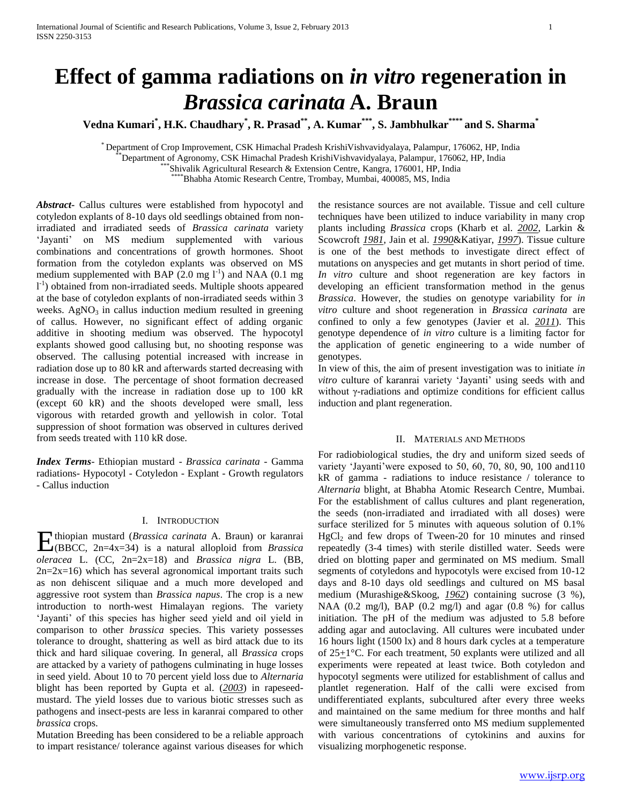# **Effect of gamma radiations on** *in vitro* **regeneration in**  *Brassica carinata* **A. Braun**

**Vedna Kumari\* , H.K. Chaudhary\* , R. Prasad\*\*, A. Kumar\*\*\*, S. Jambhulkar\*\*\*\* and S. Sharma\***

\* Department of Crop Improvement, CSK Himachal Pradesh KrishiVishvavidyalaya, Palampur, 176062, HP, India

\*\*Department of Agronomy, CSK Himachal Pradesh KrishiVishvavidyalaya, Palampur, 176062, HP, India

\*\*\* Shivalik Agricultural Research & Extension Centre, Kangra, 176001, HP, India

\*\*\*\*Bhabha Atomic Research Centre, Trombay, Mumbai, 400085, MS, India

*Abstract***-** Callus cultures were established from hypocotyl and cotyledon explants of 8-10 days old seedlings obtained from nonirradiated and irradiated seeds of *Brassica carinata* variety 'Jayanti' on MS medium supplemented with various combinations and concentrations of growth hormones. Shoot formation from the cotyledon explants was observed on MS medium supplemented with BAP  $(2.0 \text{ mg } 1^{-1})$  and NAA  $(0.1 \text{ mg})$ l<sup>-1</sup>) obtained from non-irradiated seeds. Multiple shoots appeared at the base of cotyledon explants of non-irradiated seeds within 3 weeks.  $AgNO<sub>3</sub>$  in callus induction medium resulted in greening of callus. However, no significant effect of adding organic additive in shooting medium was observed. The hypocotyl explants showed good callusing but, no shooting response was observed. The callusing potential increased with increase in radiation dose up to 80 kR and afterwards started decreasing with increase in dose. The percentage of shoot formation decreased gradually with the increase in radiation dose up to 100 kR (except 60 kR) and the shoots developed were small, less vigorous with retarded growth and yellowish in color. Total suppression of shoot formation was observed in cultures derived from seeds treated with 110 kR dose.

*Index Terms*- Ethiopian mustard - *Brassica carinata* - Gamma radiations- Hypocotyl - Cotyledon - Explant - Growth regulators - Callus induction

#### I. INTRODUCTION

thiopian mustard (*Brassica carinata* A. Braun) or karanrai (BBCC, 2n=4x=34) is a natural alloploid from *Brassica*  E*oleracea* L. (CC, 2n=2x=18) and *Brassica nigra* L. (BB,  $2n=2x=16$ ) which has several agronomical important traits such as non dehiscent siliquae and a much more developed and aggressive root system than *Brassica napus*. The crop is a new introduction to north-west Himalayan regions. The variety 'Jayanti' of this species has higher seed yield and oil yield in comparison to other *brassica* species. This variety possesses tolerance to drought, shattering as well as bird attack due to its thick and hard siliquae covering. In general, all *Brassica* crops are attacked by a variety of pathogens culminating in huge losses in seed yield. About 10 to 70 percent yield loss due to *Alternaria* blight has been reported by Gupta et al. (*2003*) in rapeseedmustard. The yield losses due to various biotic stresses such as pathogens and insect-pests are less in karanrai compared to other *brassica* crops.

Mutation Breeding has been considered to be a reliable approach to impart resistance/ tolerance against various diseases for which

the resistance sources are not available. Tissue and cell culture techniques have been utilized to induce variability in many crop plants including *Brassica* crops (Kharb et al. *2002*, Larkin & Scowcroft *1981*, Jain et al. *1990*&Katiyar, *1997*). Tissue culture is one of the best methods to investigate direct effect of mutations on anyspecies and get mutants in short period of time. *In vitro* culture and shoot regeneration are key factors in developing an efficient transformation method in the genus *Brassica*. However, the studies on genotype variability for *in vitro* culture and shoot regeneration in *Brassica carinata* are confined to only a few genotypes (Javier et al. *2011*). This genotype dependence of *in vitro* culture is a limiting factor for the application of genetic engineering to a wide number of genotypes.

In view of this, the aim of present investigation was to initiate *in vitro* culture of karanrai variety 'Jayanti' using seeds with and without γ-radiations and optimize conditions for efficient callus induction and plant regeneration.

### II. MATERIALS AND METHODS

For radiobiological studies, the dry and uniform sized seeds of variety 'Jayanti'were exposed to 50, 60, 70, 80, 90, 100 and110 kR of gamma - radiations to induce resistance / tolerance to *Alternaria* blight, at Bhabha Atomic Research Centre, Mumbai. For the establishment of callus cultures and plant regeneration, the seeds (non-irradiated and irradiated with all doses) were surface sterilized for 5 minutes with aqueous solution of 0.1%  $HgCl<sub>2</sub>$  and few drops of Tween-20 for 10 minutes and rinsed repeatedly (3-4 times) with sterile distilled water. Seeds were dried on blotting paper and germinated on MS medium. Small segments of cotyledons and hypocotyls were excised from 10-12 days and 8-10 days old seedlings and cultured on MS basal medium (Murashige&Skoog, *1962*) containing sucrose (3 %), NAA (0.2 mg/l), BAP (0.2 mg/l) and agar (0.8 %) for callus initiation. The pH of the medium was adjusted to 5.8 before adding agar and autoclaving. All cultures were incubated under 16 hours light (1500 lx) and 8 hours dark cycles at a temperature of  $25 \pm 1$ °C. For each treatment, 50 explants were utilized and all experiments were repeated at least twice. Both cotyledon and hypocotyl segments were utilized for establishment of callus and plantlet regeneration. Half of the calli were excised from undifferentiated explants, subcultured after every three weeks and maintained on the same medium for three months and half were simultaneously transferred onto MS medium supplemented with various concentrations of cytokinins and auxins for visualizing morphogenetic response.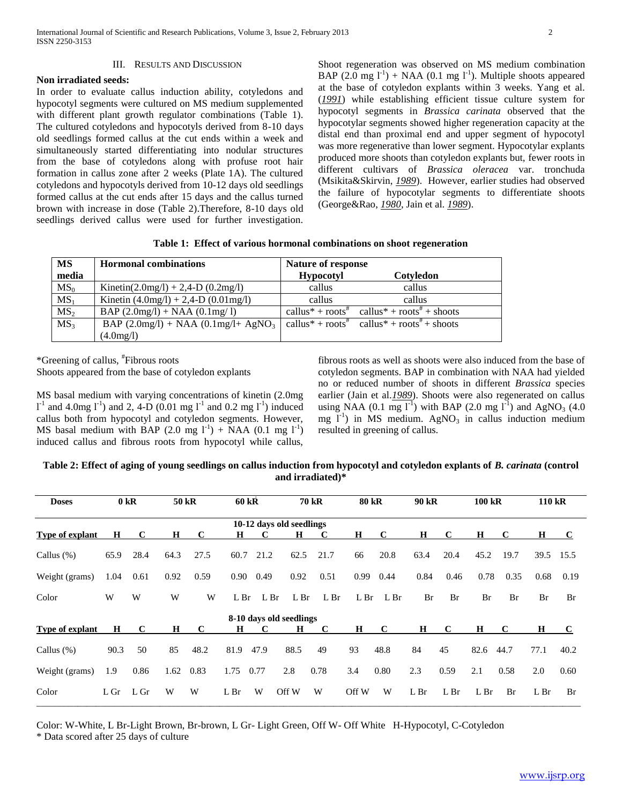### III. RESULTS AND DISCUSSION

## **Non irradiated seeds:**

In order to evaluate callus induction ability, cotyledons and hypocotyl segments were cultured on MS medium supplemented with different plant growth regulator combinations (Table 1). The cultured cotyledons and hypocotyls derived from 8-10 days old seedlings formed callus at the cut ends within a week and simultaneously started differentiating into nodular structures from the base of cotyledons along with profuse root hair formation in callus zone after 2 weeks (Plate 1A). The cultured cotyledons and hypocotyls derived from 10-12 days old seedlings formed callus at the cut ends after 15 days and the callus turned brown with increase in dose (Table 2).Therefore, 8-10 days old seedlings derived callus were used for further investigation.

Shoot regeneration was observed on MS medium combination BAP  $(2.0 \text{ mg } l^{\text{-1}})$  + NAA  $(0.1 \text{ mg } l^{\text{-1}})$ . Multiple shoots appeared at the base of cotyledon explants within 3 weeks. Yang et al. (*1991*) while establishing efficient tissue culture system for hypocotyl segments in *Brassica carinata* observed that the hypocotylar segments showed higher regeneration capacity at the distal end than proximal end and upper segment of hypocotyl was more regenerative than lower segment. Hypocotylar explants produced more shoots than cotyledon explants but, fewer roots in different cultivars of *Brassica oleracea* var. tronchuda (Msikita&Skirvin, *1989*). However, earlier studies had observed the failure of hypocotylar segments to differentiate shoots (George&Rao, *1980*, Jain et al. *1989*).

| <b>MS</b>       | <b>Hormonal combinations</b>              | Nature of response |                                                                                                                          |  |  |  |  |
|-----------------|-------------------------------------------|--------------------|--------------------------------------------------------------------------------------------------------------------------|--|--|--|--|
| media           |                                           | <b>Hypocotyl</b>   | Cotyledon                                                                                                                |  |  |  |  |
| $MS_0$          | Kinetin(2.0mg/l) + 2,4-D (0.2mg/l)        | callus             | callus                                                                                                                   |  |  |  |  |
| MS <sub>1</sub> | Kinetin $(4.0mg/l) + 2,4-D$ $(0.01mg/l)$  | callus             | callus                                                                                                                   |  |  |  |  |
| MS <sub>2</sub> | $BAP (2.0mg/l) + NAA (0.1mg/l)$           |                    | callus <sup>*</sup> + roots <sup><math>\pi</math></sup> callus <sup>*</sup> + roots <sup><math>\pi</math></sup> + shoots |  |  |  |  |
| MS <sub>3</sub> | BAP $(2.0mg/l) + NAA$ $(0.1mg/l + AgNO3)$ |                    | callus <sup>*</sup> + roots <sup>#</sup> callus <sup>*</sup> + roots <sup>#</sup> + shoots                               |  |  |  |  |
|                 | (4.0mg/l)                                 |                    |                                                                                                                          |  |  |  |  |

\*Greening of callus, # Fibrous roots Shoots appeared from the base of cotyledon explants

MS basal medium with varying concentrations of kinetin (2.0mg  $1^{-1}$  and 4.0mg  $1^{-1}$ ) and 2, 4-D (0.01 mg  $1^{-1}$  and 0.2 mg  $1^{-1}$ ) induced callus both from hypocotyl and cotyledon segments. However, MS basal medium with BAP  $(2.0 \text{ mg } l^{-1})$  + NAA  $(0.1 \text{ mg } l^{-1})$ induced callus and fibrous roots from hypocotyl while callus,

fibrous roots as well as shoots were also induced from the base of cotyledon segments. BAP in combination with NAA had yielded no or reduced number of shoots in different *Brassica* species earlier (Jain et al.*1989*). Shoots were also regenerated on callus using NAA (0.1 mg  $I^1$ ) with BAP (2.0 mg  $I^1$ ) and AgNO<sub>3</sub> (4.0) mg  $I^{-1}$ ) in MS medium. AgNO<sub>3</sub> in callus induction medium resulted in greening of callus.

# **Table 2: Effect of aging of young seedlings on callus induction from hypocotyl and cotyledon explants of** *B. carinata* **(control and irradiated)\***

| <b>Doses</b>           |         | 0 kR        |         | 50 kR | $60$ kR         |                 |                          | <b>70 kR</b>    | <b>80 kR</b> |                 | 90 kR           |             | 100 kR          |             | 110 kR          |      |
|------------------------|---------|-------------|---------|-------|-----------------|-----------------|--------------------------|-----------------|--------------|-----------------|-----------------|-------------|-----------------|-------------|-----------------|------|
|                        |         |             |         |       |                 |                 | 10-12 days old seedlings |                 |              |                 |                 |             |                 |             |                 |      |
| <b>Type of explant</b> | H       | $\mathbf C$ | H       | C     | Н               | C               | $\bf H$                  | C               | Н            | C               | $\bf H$         | $\mathbf C$ | $\bf H$         | C           | H               | C    |
| Callus $(\%)$          | 65.9    | 28.4        | 64.3    | 27.5  | 60.7            | 21.2            | 62.5                     | 21.7            | 66           | 20.8            | 63.4            | 20.4        | 45.2            | 19.7        | 39.5            | 15.5 |
| Weight (grams)         | 1.04    | 0.61        | 0.92    | 0.59  | 0.90            | 0.49            | 0.92                     | 0.51            | 0.99         | 0.44            | 0.84            | 0.46        | 0.78            | 0.35        | 0.68            | 0.19 |
| Color                  | W       | W           | W       | W     | L <sub>Br</sub> | L <sub>Br</sub> | L <sub>Br</sub>          | L <sub>Br</sub> | L Br         | L <sub>Br</sub> | Br              | Br          | <b>Br</b>       | Br          | <b>Br</b>       | Br   |
|                        |         |             |         |       |                 |                 | 8-10 days old seedlings  |                 |              |                 |                 |             |                 |             |                 |      |
| Type of explant        | $\bf H$ | $\mathbf C$ | $\bf H$ | C     | $\bf H$         | $\mathbf C$     | $\bf H$                  | C               | $\bf H$      | $\mathbf C$     | H               | $\mathbf C$ | $\bf H$         | $\mathbf C$ | н               | C    |
| Callus $(\%)$          | 90.3    | 50          | 85      | 48.2  | 81.9            | 47.9            | 88.5                     | 49              | 93           | 48.8            | 84              | 45          | 82.6            | 44.7        | 77.1            | 40.2 |
| Weight (grams)         | 1.9     | 0.86        | 1.62    | 0.83  | 1.75            | 0.77            | 2.8                      | 0.78            | 3.4          | 0.80            | 2.3             | 0.59        | 2.1             | 0.58        | 2.0             | 0.60 |
| Color                  | L Gr    | L Gr        | W       | W     | L Br            | W               | Off W                    | W               | Off W        | W               | L <sub>Br</sub> | L Br        | L <sub>Br</sub> | Br          | L <sub>Br</sub> | Br   |

Color: W-White, L Br-Light Brown, Br-brown, L Gr- Light Green, Off W- Off White H-Hypocotyl, C-Cotyledon \* Data scored after 25 days of culture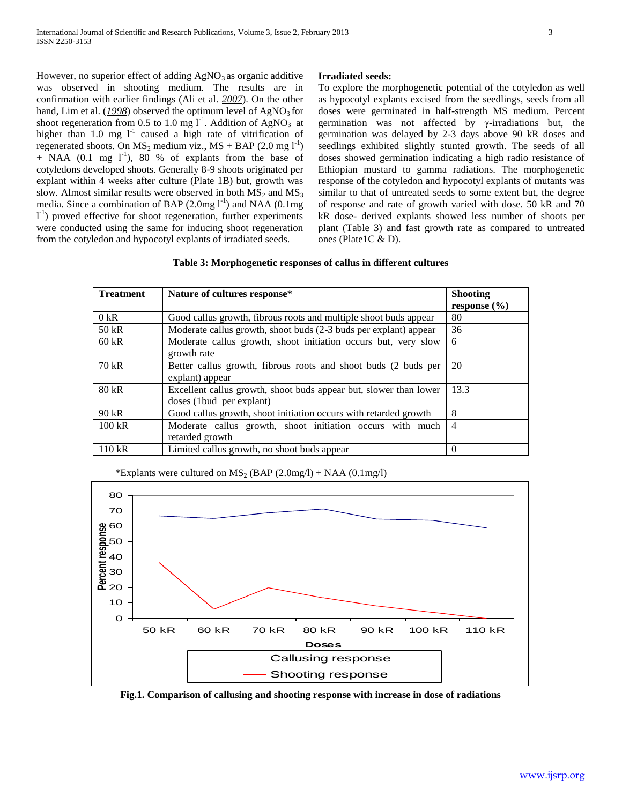However, no superior effect of adding  $AgNO<sub>3</sub>$  as organic additive was observed in shooting medium. The results are in confirmation with earlier findings (Ali et al. *2007*). On the other hand, Lim et al. (1998) observed the optimum level of AgNO<sub>3</sub> for shoot regeneration from 0.5 to 1.0 mg  $1^{-1}$ . Addition of AgNO<sub>3</sub> at higher than 1.0 mg  $1^{-1}$  caused a high rate of vitrification of regenerated shoots. On  $MS_2$  medium viz.,  $MS + BAP$  (2.0 mg  $1^{-1}$ )  $+$  NAA (0.1 mg  $1^{-1}$ ), 80 % of explants from the base of cotyledons developed shoots. Generally 8-9 shoots originated per explant within 4 weeks after culture (Plate 1B) but, growth was slow. Almost similar results were observed in both  $MS_2$  and  $MS_3$ media. Since a combination of BAP  $(2.0 \text{mg} l^{-1})$  and NAA  $(0.1 \text{mg})$  $1<sup>-1</sup>$ ) proved effective for shoot regeneration, further experiments were conducted using the same for inducing shoot regeneration from the cotyledon and hypocotyl explants of irradiated seeds.

# **Irradiated seeds:**

To explore the morphogenetic potential of the cotyledon as well as hypocotyl explants excised from the seedlings, seeds from all doses were germinated in half-strength MS medium. Percent germination was not affected by γ-irradiations but, the germination was delayed by 2-3 days above 90 kR doses and seedlings exhibited slightly stunted growth. The seeds of all doses showed germination indicating a high radio resistance of Ethiopian mustard to gamma radiations. The morphogenetic response of the cotyledon and hypocotyl explants of mutants was similar to that of untreated seeds to some extent but, the degree of response and rate of growth varied with dose. 50 kR and 70 kR dose- derived explants showed less number of shoots per plant (Table 3) and fast growth rate as compared to untreated ones (Plate1C & D).

| <b>Treatment</b> | Nature of cultures response*                                                                   | <b>Shooting</b><br>response $(\% )$ |
|------------------|------------------------------------------------------------------------------------------------|-------------------------------------|
| 0 kR             | Good callus growth, fibrous roots and multiple shoot buds appear                               | 80                                  |
| 50 kR            | Moderate callus growth, shoot buds (2-3 buds per explant) appear                               | 36                                  |
| $60$ kR          | Moderate callus growth, shoot initiation occurs but, very slow<br>growth rate                  | -6                                  |
| 70 kR            | Better callus growth, fibrous roots and shoot buds (2 buds per<br>explant) appear              | 20                                  |
| $80$ kR          | Excellent callus growth, shoot buds appear but, slower than lower<br>doses (1 bud per explant) | 13.3                                |
| 90 kR            | Good callus growth, shoot initiation occurs with retarded growth                               | 8                                   |
| $100$ kR         | Moderate callus growth, shoot initiation occurs with much<br>retarded growth                   | $\overline{4}$                      |
| 110 kR           | Limited callus growth, no shoot buds appear                                                    | $\Omega$                            |

\*Explants were cultured on  $MS_2$  (BAP (2.0mg/l) + NAA (0.1mg/l)



**Fig.1. Comparison of callusing and shooting response with increase in dose of radiations**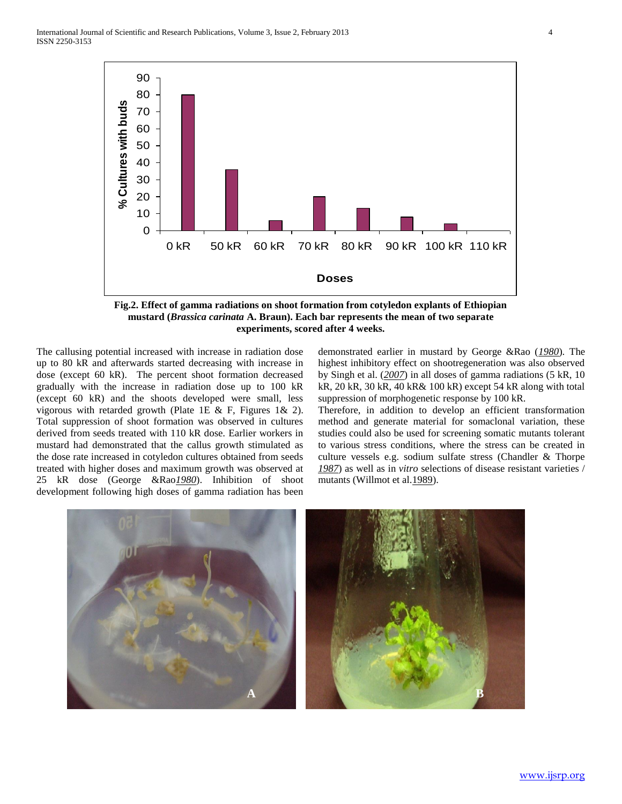

**Fig.2. Effect of gamma radiations on shoot formation from cotyledon explants of Ethiopian mustard (***Brassica carinata* **A. Braun). Each bar represents the mean of two separate experiments, scored after 4 weeks.**

The callusing potential increased with increase in radiation dose up to 80 kR and afterwards started decreasing with increase in dose (except 60 kR). The percent shoot formation decreased gradually with the increase in radiation dose up to 100 kR (except 60 kR) and the shoots developed were small, less vigorous with retarded growth (Plate 1E & F, Figures 1& 2). Total suppression of shoot formation was observed in cultures derived from seeds treated with 110 kR dose. Earlier workers in mustard had demonstrated that the callus growth stimulated as the dose rate increased in cotyledon cultures obtained from seeds treated with higher doses and maximum growth was observed at 25 kR dose (George &Rao*1980*). Inhibition of shoot development following high doses of gamma radiation has been

demonstrated earlier in mustard by George &Rao (*1980*). The highest inhibitory effect on shootregeneration was also observed by Singh et al. (*2007*) in all doses of gamma radiations (5 kR, 10 kR, 20 kR, 30 kR, 40 kR& 100 kR) except 54 kR along with total suppression of morphogenetic response by 100 kR.

Therefore, in addition to develop an efficient transformation method and generate material for somaclonal variation, these studies could also be used for screening somatic mutants tolerant to various stress conditions, where the stress can be created in culture vessels e.g. sodium sulfate stress (Chandler & Thorpe *1987*) as well as in *vitro* selections of disease resistant varieties / mutants (Willmot et al. 1989).

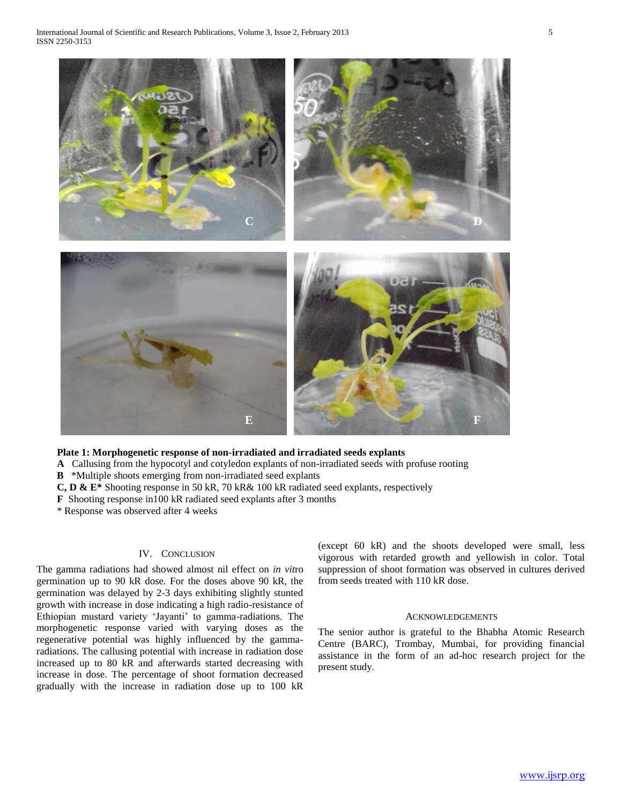

# **Plate 1: Morphogenetic response of non-irradiated and irradiated seeds explants**

 **A** Callusing from the hypocotyl and cotyledon explants of non-irradiated seeds with profuse rooting

 **B** \*Multiple shoots emerging from non-irradiated seed explants

 **C, D & E\*** Shooting response in 50 kR, 70 kR& 100 kR radiated seed explants, respectively

 **F** Shooting response in100 kR radiated seed explants after 3 months

\* Response was observed after 4 weeks

## IV. CONCLUSION

The gamma radiations had showed almost nil effect on *in vit*ro germination up to 90 kR dose. For the doses above 90 kR, the germination was delayed by 2-3 days exhibiting slightly stunted growth with increase in dose indicating a high radio-resistance of Ethiopian mustard variety 'Jayanti' to gamma-radiations. The morphogenetic response varied with varying doses as the regenerative potential was highly influenced by the gammaradiations. The callusing potential with increase in radiation dose increased up to 80 kR and afterwards started decreasing with increase in dose. The percentage of shoot formation decreased gradually with the increase in radiation dose up to 100 kR (except 60 kR) and the shoots developed were small, less vigorous with retarded growth and yellowish in color. Total suppression of shoot formation was observed in cultures derived from seeds treated with 110 kR dose.

#### **ACKNOWLEDGEMENTS**

The senior author is grateful to the Bhabha Atomic Research Centre (BARC), Trombay, Mumbai, for providing financial assistance in the form of an ad-hoc research project for the present study.